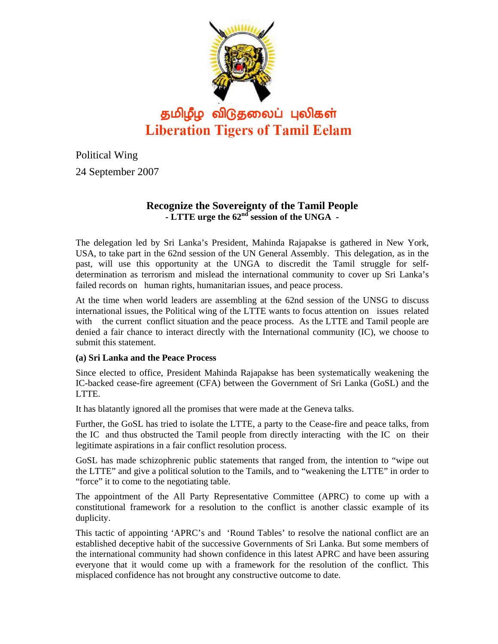

Political Wing 24 September 2007

## **Recognize the Sovereignty of the Tamil People**  - LTTE urge the 62<sup>nd</sup> session of the UNGA -

The delegation led by Sri Lanka's President, Mahinda Rajapakse is gathered in New York, USA, to take part in the 62nd session of the UN General Assembly. This delegation, as in the past, will use this opportunity at the UNGA to discredit the Tamil struggle for selfdetermination as terrorism and mislead the international community to cover up Sri Lanka's failed records on human rights, humanitarian issues, and peace process.

At the time when world leaders are assembling at the 62nd session of the UNSG to discuss international issues, the Political wing of the LTTE wants to focus attention on issues related with the current conflict situation and the peace process. As the LTTE and Tamil people are denied a fair chance to interact directly with the International community (IC), we choose to submit this statement.

### **(a) Sri Lanka and the Peace Process**

Since elected to office, President Mahinda Rajapakse has been systematically weakening the IC-backed cease-fire agreement (CFA) between the Government of Sri Lanka (GoSL) and the LTTE.

It has blatantly ignored all the promises that were made at the Geneva talks.

Further, the GoSL has tried to isolate the LTTE, a party to the Cease-fire and peace talks, from the IC and thus obstructed the Tamil people from directly interacting with the IC on their legitimate aspirations in a fair conflict resolution process.

GoSL has made schizophrenic public statements that ranged from, the intention to "wipe out the LTTE" and give a political solution to the Tamils, and to "weakening the LTTE" in order to "force" it to come to the negotiating table.

The appointment of the All Party Representative Committee (APRC) to come up with a constitutional framework for a resolution to the conflict is another classic example of its duplicity.

This tactic of appointing 'APRC's and 'Round Tables' to resolve the national conflict are an established deceptive habit of the successive Governments of Sri Lanka. But some members of the international community had shown confidence in this latest APRC and have been assuring everyone that it would come up with a framework for the resolution of the conflict. This misplaced confidence has not brought any constructive outcome to date.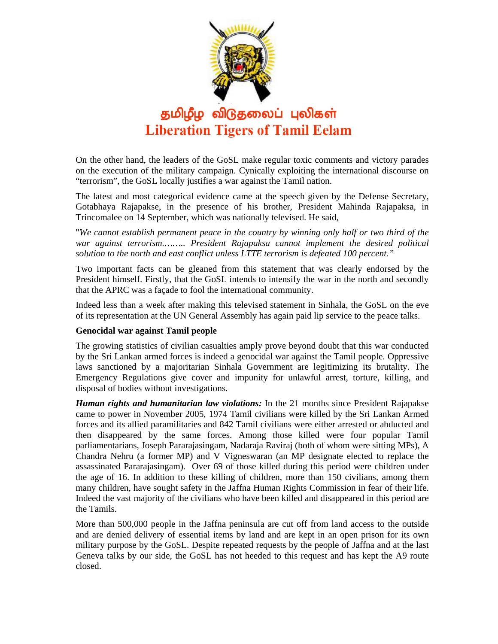

On the other hand, the leaders of the GoSL make regular toxic comments and victory parades on the execution of the military campaign. Cynically exploiting the international discourse on "terrorism", the GoSL locally justifies a war against the Tamil nation.

The latest and most categorical evidence came at the speech given by the Defense Secretary, Gotabhaya Rajapakse, in the presence of his brother, President Mahinda Rajapaksa, in Trincomalee on 14 September, which was nationally televised. He said,

"*We cannot establish permanent peace in the country by winning only half or two third of the war against terrorism.…….. President Rajapaksa cannot implement the desired political solution to the north and east conflict unless LTTE terrorism is defeated 100 percent."* 

Two important facts can be gleaned from this statement that was clearly endorsed by the President himself. Firstly, that the GoSL intends to intensify the war in the north and secondly that the APRC was a façade to fool the international community.

Indeed less than a week after making this televised statement in Sinhala, the GoSL on the eve of its representation at the UN General Assembly has again paid lip service to the peace talks.

#### **Genocidal war against Tamil people**

The growing statistics of civilian casualties amply prove beyond doubt that this war conducted by the Sri Lankan armed forces is indeed a genocidal war against the Tamil people. Oppressive laws sanctioned by a majoritarian Sinhala Government are legitimizing its brutality. The Emergency Regulations give cover and impunity for unlawful arrest, torture, killing, and disposal of bodies without investigations.

*Human rights and humanitarian law violations:* In the 21 months since President Rajapakse came to power in November 2005, 1974 Tamil civilians were killed by the Sri Lankan Armed forces and its allied paramilitaries and 842 Tamil civilians were either arrested or abducted and then disappeared by the same forces. Among those killed were four popular Tamil parliamentarians, Joseph Pararajasingam, Nadaraja Raviraj (both of whom were sitting MPs), A Chandra Nehru (a former MP) and V Vigneswaran (an MP designate elected to replace the assassinated Pararajasingam). Over 69 of those killed during this period were children under the age of 16. In addition to these killing of children, more than 150 civilians, among them many children, have sought safety in the Jaffna Human Rights Commission in fear of their life. Indeed the vast majority of the civilians who have been killed and disappeared in this period are the Tamils.

More than 500,000 people in the Jaffna peninsula are cut off from land access to the outside and are denied delivery of essential items by land and are kept in an open prison for its own military purpose by the GoSL. Despite repeated requests by the people of Jaffna and at the last Geneva talks by our side, the GoSL has not heeded to this request and has kept the A9 route closed.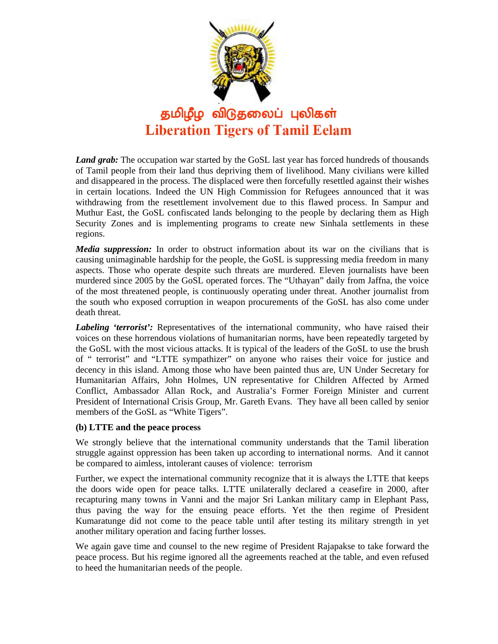

*Land grab:* The occupation war started by the GoSL last year has forced hundreds of thousands of Tamil people from their land thus depriving them of livelihood. Many civilians were killed and disappeared in the process. The displaced were then forcefully resettled against their wishes in certain locations. Indeed the UN High Commission for Refugees announced that it was withdrawing from the resettlement involvement due to this flawed process. In Sampur and Muthur East, the GoSL confiscated lands belonging to the people by declaring them as High Security Zones and is implementing programs to create new Sinhala settlements in these regions.

*Media suppression:* In order to obstruct information about its war on the civilians that is causing unimaginable hardship for the people, the GoSL is suppressing media freedom in many aspects. Those who operate despite such threats are murdered. Eleven journalists have been murdered since 2005 by the GoSL operated forces. The "Uthayan" daily from Jaffna, the voice of the most threatened people, is continuously operating under threat. Another journalist from the south who exposed corruption in weapon procurements of the GoSL has also come under death threat.

*Labeling 'terrorist':* Representatives of the international community, who have raised their voices on these horrendous violations of humanitarian norms, have been repeatedly targeted by the GoSL with the most vicious attacks. It is typical of the leaders of the GoSL to use the brush of " terrorist" and "LTTE sympathizer" on anyone who raises their voice for justice and decency in this island. Among those who have been painted thus are, UN Under Secretary for Humanitarian Affairs, John Holmes, UN representative for Children Affected by Armed Conflict, Ambassador Allan Rock, and Australia's Former Foreign Minister and current President of International Crisis Group, Mr. Gareth Evans. They have all been called by senior members of the GoSL as "White Tigers".

#### **(b) LTTE and the peace process**

We strongly believe that the international community understands that the Tamil liberation struggle against oppression has been taken up according to international norms. And it cannot be compared to aimless, intolerant causes of violence: terrorism

Further, we expect the international community recognize that it is always the LTTE that keeps the doors wide open for peace talks. LTTE unilaterally declared a ceasefire in 2000, after recapturing many towns in Vanni and the major Sri Lankan military camp in Elephant Pass, thus paving the way for the ensuing peace efforts. Yet the then regime of President Kumaratunge did not come to the peace table until after testing its military strength in yet another military operation and facing further losses.

We again gave time and counsel to the new regime of President Rajapakse to take forward the peace process. But his regime ignored all the agreements reached at the table, and even refused to heed the humanitarian needs of the people.